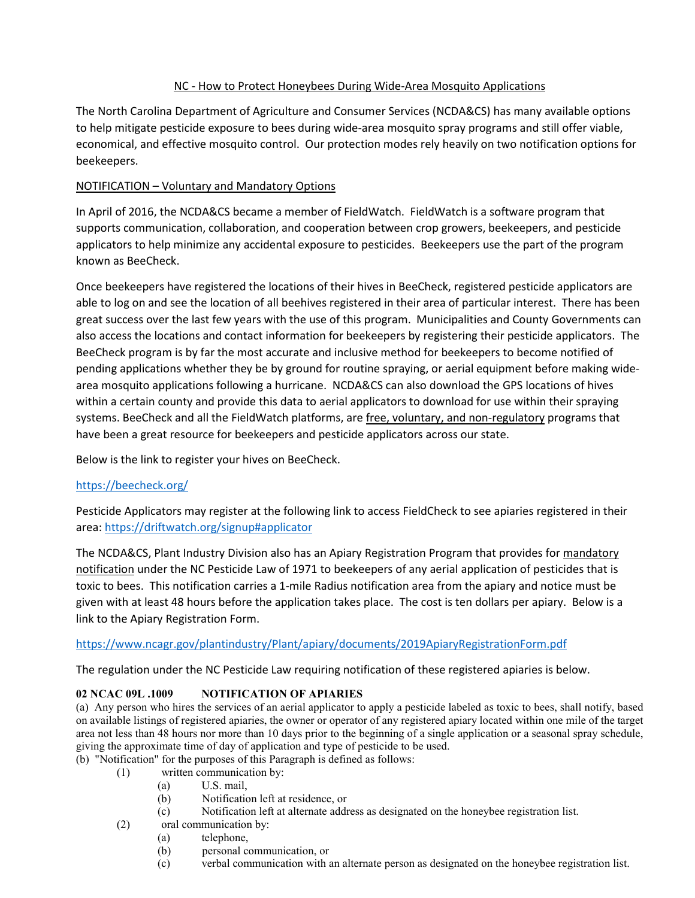# NC - How to Protect Honeybees During Wide-Area Mosquito Applications

The North Carolina Department of Agriculture and Consumer Services (NCDA&CS) has many available options to help mitigate pesticide exposure to bees during wide-area mosquito spray programs and still offer viable, economical, and effective mosquito control. Our protection modes rely heavily on two notification options for beekeepers.

# NOTIFICATION – Voluntary and Mandatory Options

In April of 2016, the NCDA&CS became a member of FieldWatch. FieldWatch is a software program that supports communication, collaboration, and cooperation between crop growers, beekeepers, and pesticide applicators to help minimize any accidental exposure to pesticides. Beekeepers use the part of the program known as BeeCheck.

Once beekeepers have registered the locations of their hives in BeeCheck, registered pesticide applicators are able to log on and see the location of all beehives registered in their area of particular interest. There has been great success over the last few years with the use of this program. Municipalities and County Governments can also access the locations and contact information for beekeepers by registering their pesticide applicators. The BeeCheck program is by far the most accurate and inclusive method for beekeepers to become notified of pending applications whether they be by ground for routine spraying, or aerial equipment before making widearea mosquito applications following a hurricane. NCDA&CS can also download the GPS locations of hives within a certain county and provide this data to aerial applicators to download for use within their spraying systems. BeeCheck and all the FieldWatch platforms, are free, voluntary, and non-regulatory programs that have been a great resource for beekeepers and pesticide applicators across our state.

Below is the link to register your hives on BeeCheck.

# <https://beecheck.org/>

Pesticide Applicators may register at the following link to access FieldCheck to see apiaries registered in their area:<https://driftwatch.org/signup#applicator>

The NCDA&CS, Plant Industry Division also has an Apiary Registration Program that provides for mandatory notification under the NC Pesticide Law of 1971 to beekeepers of any aerial application of pesticides that is toxic to bees. This notification carries a 1-mile Radius notification area from the apiary and notice must be given with at least 48 hours before the application takes place. The cost is ten dollars per apiary. Below is a link to the Apiary Registration Form.

### <https://www.ncagr.gov/plantindustry/Plant/apiary/documents/2019ApiaryRegistrationForm.pdf>

The regulation under the NC Pesticide Law requiring notification of these registered apiaries is below.

# **02 NCAC 09L .1009 NOTIFICATION OF APIARIES**

(a) Any person who hires the services of an aerial applicator to apply a pesticide labeled as toxic to bees, shall notify, based on available listings of registered apiaries, the owner or operator of any registered apiary located within one mile of the target area not less than 48 hours nor more than 10 days prior to the beginning of a single application or a seasonal spray schedule, giving the approximate time of day of application and type of pesticide to be used.

- (b) "Notification" for the purposes of this Paragraph is defined as follows:
	- (1) written communication by:
		- (a) U.S. mail,
		- (b) Notification left at residence, or
		- (c) Notification left at alternate address as designated on the honeybee registration list.
	- (2) oral communication by:
		- (a) telephone,
		- (b) personal communication, or
		- (c) verbal communication with an alternate person as designated on the honeybee registration list.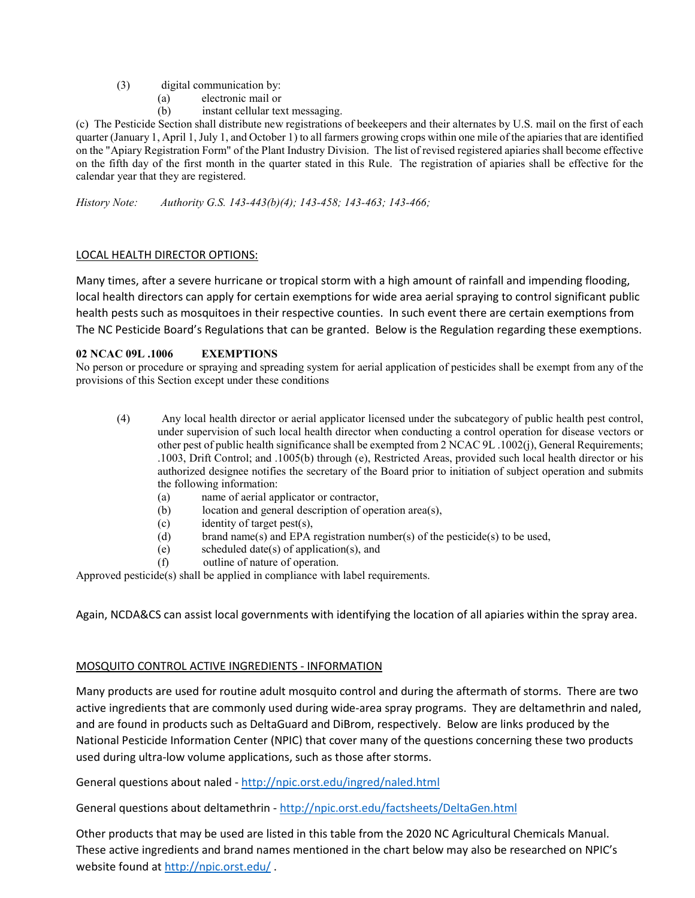- (3) digital communication by:
	- (a) electronic mail or
	- (b) instant cellular text messaging.

(c) The Pesticide Section shall distribute new registrations of beekeepers and their alternates by U.S. mail on the first of each quarter (January 1, April 1, July 1, and October 1) to all farmers growing crops within one mile of the apiaries that are identified on the "Apiary Registration Form" of the Plant Industry Division. The list of revised registered apiaries shall become effective on the fifth day of the first month in the quarter stated in this Rule. The registration of apiaries shall be effective for the calendar year that they are registered.

*History Note: Authority G.S. 143-443(b)(4); 143-458; 143-463; 143-466;*

### LOCAL HEALTH DIRECTOR OPTIONS:

Many times, after a severe hurricane or tropical storm with a high amount of rainfall and impending flooding, local health directors can apply for certain exemptions for wide area aerial spraying to control significant public health pests such as mosquitoes in their respective counties. In such event there are certain exemptions from The NC Pesticide Board's Regulations that can be granted. Below is the Regulation regarding these exemptions.

### **02 NCAC 09L .1006 EXEMPTIONS**

No person or procedure or spraying and spreading system for aerial application of pesticides shall be exempt from any of the provisions of this Section except under these conditions

- (4) Any local health director or aerial applicator licensed under the subcategory of public health pest control, under supervision of such local health director when conducting a control operation for disease vectors or other pest of public health significance shall be exempted from 2 NCAC 9L .1002(j), General Requirements; .1003, Drift Control; and .1005(b) through (e), Restricted Areas, provided such local health director or his authorized designee notifies the secretary of the Board prior to initiation of subject operation and submits the following information:
	- (a) name of aerial applicator or contractor,
	- (b) location and general description of operation area(s),
	- (c) identity of target pest(s),
	- (d) brand name(s) and EPA registration number(s) of the pesticide(s) to be used,
	- (e) scheduled date(s) of application(s), and
	- (f) outline of nature of operation.

Approved pesticide(s) shall be applied in compliance with label requirements.

Again, NCDA&CS can assist local governments with identifying the location of all apiaries within the spray area.

### MOSQUITO CONTROL ACTIVE INGREDIENTS - INFORMATION

Many products are used for routine adult mosquito control and during the aftermath of storms. There are two active ingredients that are commonly used during wide-area spray programs. They are deltamethrin and naled, and are found in products such as DeltaGuard and DiBrom, respectively. Below are links produced by the National Pesticide Information Center (NPIC) that cover many of the questions concerning these two products used during ultra-low volume applications, such as those after storms.

General questions about naled - <http://npic.orst.edu/ingred/naled.html>

General questions about deltamethrin - <http://npic.orst.edu/factsheets/DeltaGen.html>

Other products that may be used are listed in this table from the 2020 NC Agricultural Chemicals Manual. These active ingredients and brand names mentioned in the chart below may also be researched on NPIC's website found at<http://npic.orst.edu/> .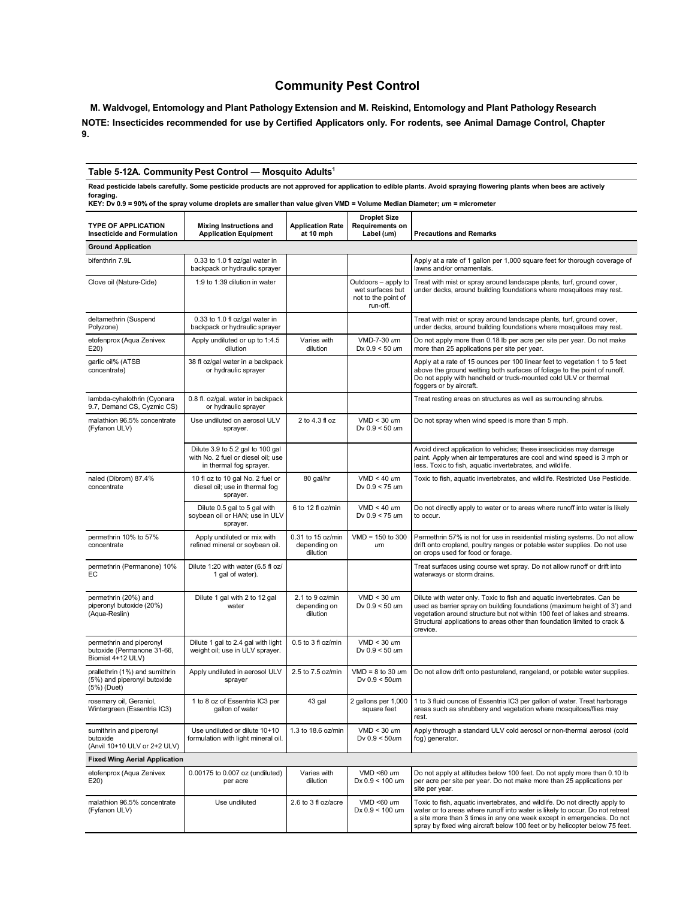# **Community Pest Control**

**M. Waldvogel, Entomology and Plant Pathology Extension and M. Reiskind, Entomology and Plant Pathology Research** NOTE: Insecticides recommended for use by Certified Applicators only. For rodents, see Animal Damage Control, Chapter **9.**

#### **Table 5-12A. Community Pest Control — Mosquito Adults1**

Read pesticide labels carefully. Some pesticide products are not approved for application to edible plants. Avoid spraying flowering plants when bees are actively foraging.<br>KEY: Dv 0.9 = 90% of the spray volume droplets are smaller than value given VMD = Volume Median Diameter; *u*m = micrometer

| <b>TYPE OF APPLICATION</b><br><b>Insecticide and Formulation</b>             | Mixing Instructions and<br><b>Application Equipment</b>                                           | <b>Application Rate</b><br>at 10 mph          | <b>Droplet Size</b><br>Requirements on<br>Label $(um)$                     | <b>Precautions and Remarks</b>                                                                                                                                                                                                                                                                                            |  |  |  |
|------------------------------------------------------------------------------|---------------------------------------------------------------------------------------------------|-----------------------------------------------|----------------------------------------------------------------------------|---------------------------------------------------------------------------------------------------------------------------------------------------------------------------------------------------------------------------------------------------------------------------------------------------------------------------|--|--|--|
| <b>Ground Application</b>                                                    |                                                                                                   |                                               |                                                                            |                                                                                                                                                                                                                                                                                                                           |  |  |  |
| bifenthrin 7.9L                                                              | 0.33 to 1.0 fl oz/gal water in<br>backpack or hydraulic sprayer                                   |                                               |                                                                            | Apply at a rate of 1 gallon per 1,000 square feet for thorough coverage of<br>lawns and/or ornamentals.                                                                                                                                                                                                                   |  |  |  |
| Clove oil (Nature-Cide)                                                      | 1:9 to 1:39 dilution in water                                                                     |                                               | Outdoors - apply to<br>wet surfaces but<br>not to the point of<br>run-off. | Treat with mist or spray around landscape plants, turf, ground cover,<br>under decks, around building foundations where mosquitoes may rest.                                                                                                                                                                              |  |  |  |
| deltamethrin (Suspend<br>Polyzone)                                           | 0.33 to 1.0 fl oz/gal water in<br>backpack or hydraulic sprayer                                   |                                               |                                                                            | Treat with mist or spray around landscape plants, turf, ground cover,<br>under decks, around building foundations where mosquitoes may rest.                                                                                                                                                                              |  |  |  |
| etofenprox (Aqua Zenivex<br>E20                                              | Apply undiluted or up to 1:4.5<br>dilution                                                        | Varies with<br>dilution                       | VMD-7-30 um<br>Dx $0.9 < 50$ um                                            | Do not apply more than 0.18 lb per acre per site per year. Do not make<br>more than 25 applications per site per year.                                                                                                                                                                                                    |  |  |  |
| garlic oil% (ATSB<br>concentrate)                                            | 38 fl oz/gal water in a backpack<br>or hydraulic sprayer                                          |                                               |                                                                            | Apply at a rate of 15 ounces per 100 linear feet to vegetation 1 to 5 feet<br>above the ground wetting both surfaces of foliage to the point of runoff.<br>Do not apply with handheld or truck-mounted cold ULV or thermal<br>foggers or by aircraft.                                                                     |  |  |  |
| lambda-cyhalothrin (Cyonara<br>9.7, Demand CS, Cyzmic CS)                    | 0.8 fl. oz/gal. water in backpack<br>or hydraulic sprayer                                         |                                               |                                                                            | Treat resting areas on structures as well as surrounding shrubs.                                                                                                                                                                                                                                                          |  |  |  |
| malathion 96.5% concentrate<br>(Fyfanon ULV)                                 | Use undiluted on aerosol ULV<br>sprayer.                                                          | 2 to 4.3 fl oz                                | $VMD < 30$ um<br>Dv 0.9 < 50 um                                            | Do not spray when wind speed is more than 5 mph.                                                                                                                                                                                                                                                                          |  |  |  |
|                                                                              | Dilute 3.9 to 5.2 gal to 100 gal<br>with No. 2 fuel or diesel oil; use<br>in thermal fog sprayer. |                                               |                                                                            | Avoid direct application to vehicles; these insecticides may damage<br>paint. Apply when air temperatures are cool and wind speed is 3 mph or<br>less. Toxic to fish, aquatic invertebrates, and wildlife.                                                                                                                |  |  |  |
| naled (Dibrom) 87.4%<br>concentrate                                          | 10 fl oz to 10 gal No. 2 fuel or<br>diesel oil; use in thermal fog<br>sprayer.                    | 80 gal/hr                                     | $VMD < 40$ um<br>Dv 0.9 < 75 um                                            | Toxic to fish, aquatic invertebrates, and wildlife. Restricted Use Pesticide.                                                                                                                                                                                                                                             |  |  |  |
|                                                                              | Dilute 0.5 gal to 5 gal with<br>soybean oil or HAN; use in ULV<br>sprayer.                        | 6 to 12 fl oz/min                             | $VMD < 40$ um<br>Dv 0.9 < 75 um                                            | Do not directly apply to water or to areas where runoff into water is likely<br>to occur.                                                                                                                                                                                                                                 |  |  |  |
| permethrin 10% to 57%<br>concentrate                                         | Apply undiluted or mix with<br>refined mineral or soybean oil.                                    | 0.31 to 15 oz/min<br>depending on<br>dilution | $VMD = 150$ to 300<br>um                                                   | Permethrin 57% is not for use in residential misting systems. Do not allow<br>drift onto cropland, poultry ranges or potable water supplies. Do not use<br>on crops used for food or forage.                                                                                                                              |  |  |  |
| permethrin (Permanone) 10%<br>EC                                             | Dilute 1:20 with water (6.5 fl oz/<br>1 gal of water).                                            |                                               |                                                                            | Treat surfaces using course wet spray. Do not allow runoff or drift into<br>waterways or storm drains.                                                                                                                                                                                                                    |  |  |  |
| permethrin (20%) and<br>piperonyl butoxide (20%)<br>(Aqua-Reslin)            | Dilute 1 gal with 2 to 12 gal<br>water                                                            | 2.1 to 9 oz/min<br>depending on<br>dilution   | $VMD < 30$ um<br>Dv $0.9 < 50 \text{ um}$                                  | Dilute with water only. Toxic to fish and aquatic invertebrates. Can be<br>used as barrier spray on building foundations (maximum height of 3') and<br>vegetation around structure but not within 100 feet of lakes and streams.<br>Structural applications to areas other than foundation limited to crack &<br>crevice. |  |  |  |
| permethrin and piperonyl<br>butoxide (Permanone 31-66,<br>Biomist 4+12 ULV)  | Dilute 1 gal to 2.4 gal with light<br>weight oil; use in ULV sprayer.                             | 0.5 to 3 fl oz/min                            | $VMD < 30$ um<br>Dv $0.9 < 50$ um                                          |                                                                                                                                                                                                                                                                                                                           |  |  |  |
| prallethrin (1%) and sumithrin<br>(5%) and piperonyl butoxide<br>(5%) (Duet) | Apply undiluted in aerosol ULV<br>sprayer                                                         | 2.5 to 7.5 oz/min                             | $VMD = 8$ to 30 $µm$<br>Dv $0.9 < 50$ um                                   | Do not allow drift onto pastureland, rangeland, or potable water supplies.                                                                                                                                                                                                                                                |  |  |  |
| rosemary oil, Geraniol,<br>Wintergreen (Essentria IC3)                       | 1 to 8 oz of Essentria IC3 per<br>gallon of water                                                 | 43 gal                                        | 2 gallons per 1,000<br>square feet                                         | 1 to 3 fluid ounces of Essentria IC3 per gallon of water. Treat harborage<br>areas such as shrubbery and vegetation where mosquitoes/flies may<br>rest.                                                                                                                                                                   |  |  |  |
| sumithrin and piperonyl<br>butoxide<br>(Anvil 10+10 ULV or 2+2 ULV)          | Use undiluted or dilute 10+10<br>formulation with light mineral oil.                              | 1.3 to 18.6 oz/min                            | $VMD < 30$ um<br>Dv $0.9 < 50$ um                                          | Apply through a standard ULV cold aerosol or non-thermal aerosol (cold<br>fog) generator.                                                                                                                                                                                                                                 |  |  |  |
| <b>Fixed Wing Aerial Application</b>                                         |                                                                                                   |                                               |                                                                            |                                                                                                                                                                                                                                                                                                                           |  |  |  |
| etofenprox (Aqua Zenivex<br>E20)                                             | 0.00175 to 0.007 oz (undiluted)<br>per acre                                                       | Varies with<br>dilution                       | VMD <60 um<br>$Dx 0.9 < 100$ um                                            | Do not apply at altitudes below 100 feet. Do not apply more than 0.10 lb<br>per acre per site per year. Do not make more than 25 applications per<br>site per year.                                                                                                                                                       |  |  |  |
| malathion 96.5% concentrate<br>(Fyfanon ULV)                                 | Use undiluted                                                                                     | 2.6 to 3 fl oz/acre                           | VMD < $60 \text{ }\mu m$<br>Dx $0.9 < 100$ um                              | Toxic to fish, aquatic invertebrates, and wildlife. Do not directly apply to<br>water or to areas where runoff into water is likely to occur. Do not retreat<br>a site more than 3 times in any one week except in emergencies. Do not<br>spray by fixed wing aircraft below 100 feet or by helicopter below 75 feet.     |  |  |  |